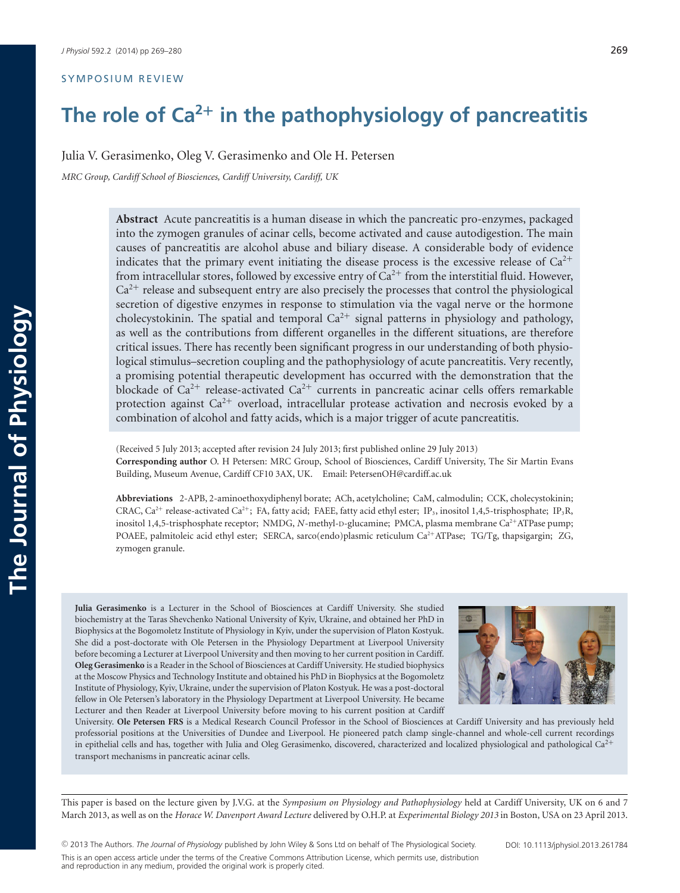#### SYMPOSIUM REVIEW

# **The role of Ca<sup>2</sup><sup>+</sup> in the pathophysiology of pancreatitis**

Julia V. Gerasimenko, Oleg V. Gerasimenko and Ole H. Petersen

*MRC Group, Cardiff School of Biosciences, Cardiff University, Cardiff, UK*

**Abstract** Acute pancreatitis is a human disease in which the pancreatic pro-enzymes, packaged into the zymogen granules of acinar cells, become activated and cause autodigestion. The main causes of pancreatitis are alcohol abuse and biliary disease. A considerable body of evidence indicates that the primary event initiating the disease process is the excessive release of  $Ca^{2+}$ from intracellular stores, followed by excessive entry of  $Ca^{2+}$  from the interstitial fluid. However,  $Ca<sup>2+</sup>$  release and subsequent entry are also precisely the processes that control the physiological secretion of digestive enzymes in response to stimulation via the vagal nerve or the hormone cholecystokinin. The spatial and temporal  $Ca^{2+}$  signal patterns in physiology and pathology, as well as the contributions from different organelles in the different situations, are therefore critical issues. There has recently been significant progress in our understanding of both physiological stimulus–secretion coupling and the pathophysiology of acute pancreatitis. Very recently, a promising potential therapeutic development has occurred with the demonstration that the blockade of  $Ca^{2+}$  release-activated  $Ca^{2+}$  currents in pancreatic acinar cells offers remarkable protection against  $Ca^{2+}$  overload, intracellular protease activation and necrosis evoked by a combination of alcohol and fatty acids, which is a major trigger of acute pancreatitis.

(Received 5 July 2013; accepted after revision 24 July 2013; first published online 29 July 2013) **Corresponding author** O. H Petersen: MRC Group, School of Biosciences, Cardiff University, The Sir Martin Evans Building, Museum Avenue, Cardiff CF10 3AX, UK. Email: PetersenOH@cardiff.ac.uk

**Abbreviations** 2-APB, 2-aminoethoxydiphenyl borate; ACh, acetylcholine; CaM, calmodulin; CCK, cholecystokinin; CRAC,  $Ca^{2+}$  release-activated  $Ca^{2+}$ ; FA, fatty acid; FAEE, fatty acid ethyl ester; IP<sub>3</sub>, inositol 1,4,5-trisphosphate; IP<sub>3</sub>R, inositol 1,4,5-trisphosphate receptor; NMDG, *N*-methyl-D-glucamine; PMCA, plasma membrane Ca<sup>2+</sup>ATPase pump; POAEE, palmitoleic acid ethyl ester; SERCA, sarco(endo)plasmic reticulum Ca<sup>2+</sup>ATPase; TG/Tg, thapsigargin; ZG, zymogen granule.

**Julia Gerasimenko** is a Lecturer in the School of Biosciences at Cardiff University. She studied biochemistry at the Taras Shevchenko National University of Kyiv, Ukraine, and obtained her PhD in Biophysics at the Bogomoletz Institute of Physiology in Kyiv, under the supervision of Platon Kostyuk. She did a post-doctorate with Ole Petersen in the Physiology Department at Liverpool University before becoming a Lecturer at Liverpool University and then moving to her current position in Cardiff. **Oleg Gerasimenko** is a Reader in the School of Biosciences at Cardiff University. He studied biophysics at the Moscow Physics and Technology Institute and obtained his PhD in Biophysics at the Bogomoletz Institute of Physiology, Kyiv, Ukraine, under the supervision of Platon Kostyuk. He was a post-doctoral fellow in Ole Petersen's laboratory in the Physiology Department at Liverpool University. He became Lecturer and then Reader at Liverpool University before moving to his current position at Cardiff



University. **Ole Petersen FRS** is a Medical Research Council Professor in the School of Biosciences at Cardiff University and has previously held professorial positions at the Universities of Dundee and Liverpool. He pioneered patch clamp single-channel and whole-cell current recordings in epithelial cells and has, together with Julia and Oleg Gerasimenko, discovered, characterized and localized physiological and pathological Ca<sup>2+</sup> transport mechanisms in pancreatic acinar cells.

This paper is based on the lecture given by J.V.G. at the *Symposium on Physiology and Pathophysiology* held at Cardiff University, UK on 6 and 7 March 2013, as well as on the *Horace W. Davenport Award Lecture* delivered by O.H.P. at *Experimental Biology 2013* in Boston, USA on 23 April 2013.

-<sup>C</sup> 2013 The Authors. *The Journal of Physiology* published by John Wiley & Sons Ltd on behalf of The Physiological Society. This is an open access article under the terms of the Creative Commons Attribution License, which permits use, distribution and reproduction in any medium, provided the original work is properly cited.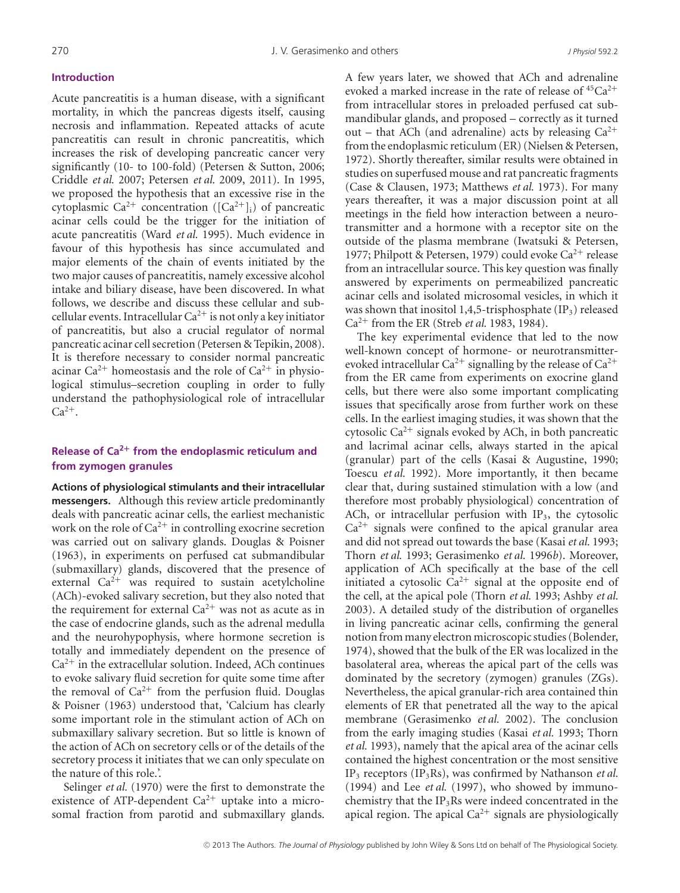#### **Introduction**

Acute pancreatitis is a human disease, with a significant mortality, in which the pancreas digests itself, causing necrosis and inflammation. Repeated attacks of acute pancreatitis can result in chronic pancreatitis, which increases the risk of developing pancreatic cancer very significantly (10- to 100-fold) (Petersen & Sutton, 2006; Criddle *et al.* 2007; Petersen *et al.* 2009, 2011). In 1995, we proposed the hypothesis that an excessive rise in the cytoplasmic  $Ca^{2+}$  concentration ( $[Ca^{2+}]_i$ ) of pancreatic acinar cells could be the trigger for the initiation of acute pancreatitis (Ward *et al.* 1995). Much evidence in favour of this hypothesis has since accumulated and major elements of the chain of events initiated by the two major causes of pancreatitis, namely excessive alcohol intake and biliary disease, have been discovered. In what follows, we describe and discuss these cellular and subcellular events. Intracellular  $Ca^{2+}$  is not only a key initiator of pancreatitis, but also a crucial regulator of normal pancreatic acinar cell secretion (Petersen & Tepikin, 2008). It is therefore necessary to consider normal pancreatic acinar  $Ca^{2+}$  homeostasis and the role of  $Ca^{2+}$  in physiological stimulus–secretion coupling in order to fully understand the pathophysiological role of intracellular  $Ca^{2+}$ .

## **Release of Ca<sup>2</sup><sup>+</sup> from the endoplasmic reticulum and from zymogen granules**

**Actions of physiological stimulants and their intracellular messengers.** Although this review article predominantly deals with pancreatic acinar cells, the earliest mechanistic work on the role of  $Ca^{2+}$  in controlling exocrine secretion was carried out on salivary glands. Douglas & Poisner (1963), in experiments on perfused cat submandibular (submaxillary) glands, discovered that the presence of external  $Ca^{2+}$  was required to sustain acetylcholine (ACh)-evoked salivary secretion, but they also noted that the requirement for external  $Ca^{2+}$  was not as acute as in the case of endocrine glands, such as the adrenal medulla and the neurohypophysis, where hormone secretion is totally and immediately dependent on the presence of  $Ca<sup>2+</sup>$  in the extracellular solution. Indeed, ACh continues to evoke salivary fluid secretion for quite some time after the removal of  $Ca^{2+}$  from the perfusion fluid. Douglas & Poisner (1963) understood that, 'Calcium has clearly some important role in the stimulant action of ACh on submaxillary salivary secretion. But so little is known of the action of ACh on secretory cells or of the details of the secretory process it initiates that we can only speculate on the nature of this role.'.

Selinger *et al.* (1970) were the first to demonstrate the existence of ATP-dependent  $Ca^{2+}$  uptake into a microsomal fraction from parotid and submaxillary glands. A few years later, we showed that ACh and adrenaline evoked a marked increase in the rate of release of  ${}^{45}Ca^{2+}$ from intracellular stores in preloaded perfused cat submandibular glands, and proposed – correctly as it turned out – that ACh (and adrenaline) acts by releasing  $Ca^{2+}$ from the endoplasmic reticulum (ER) (Nielsen & Petersen, 1972). Shortly thereafter, similar results were obtained in studies on superfused mouse and rat pancreatic fragments (Case & Clausen, 1973; Matthews *et al.* 1973). For many years thereafter, it was a major discussion point at all meetings in the field how interaction between a neurotransmitter and a hormone with a receptor site on the outside of the plasma membrane (Iwatsuki & Petersen, 1977; Philpott & Petersen, 1979) could evoke  $Ca^{2+}$  release from an intracellular source. This key question was finally answered by experiments on permeabilized pancreatic acinar cells and isolated microsomal vesicles, in which it was shown that inositol 1,4,5-trisphosphate  $(\text{IP}_3)$  released Ca<sup>2</sup><sup>+</sup> from the ER (Streb *et al.* 1983, 1984).

The key experimental evidence that led to the now well-known concept of hormone- or neurotransmitterevoked intracellular  $Ca^{2+}$  signalling by the release of  $Ca^{2+}$ from the ER came from experiments on exocrine gland cells, but there were also some important complicating issues that specifically arose from further work on these cells. In the earliest imaging studies, it was shown that the cytosolic  $Ca^{2+}$  signals evoked by ACh, in both pancreatic and lacrimal acinar cells, always started in the apical (granular) part of the cells (Kasai & Augustine, 1990; Toescu *et al.* 1992). More importantly, it then became clear that, during sustained stimulation with a low (and therefore most probably physiological) concentration of ACh, or intracellular perfusion with  $IP_3$ , the cytosolic  $Ca<sup>2+</sup>$  signals were confined to the apical granular area and did not spread out towards the base (Kasai *et al.* 1993; Thorn *et al.* 1993; Gerasimenko *et al.* 1996*b*). Moreover, application of ACh specifically at the base of the cell initiated a cytosolic  $Ca^{2+}$  signal at the opposite end of the cell, at the apical pole (Thorn *et al.* 1993; Ashby *et al.* 2003). A detailed study of the distribution of organelles in living pancreatic acinar cells, confirming the general notion from many electron microscopic studies (Bolender, 1974), showed that the bulk of the ER was localized in the basolateral area, whereas the apical part of the cells was dominated by the secretory (zymogen) granules (ZGs). Nevertheless, the apical granular-rich area contained thin elements of ER that penetrated all the way to the apical membrane (Gerasimenko *et al.* 2002). The conclusion from the early imaging studies (Kasai *et al.* 1993; Thorn *et al.* 1993), namely that the apical area of the acinar cells contained the highest concentration or the most sensitive IP3 receptors (IP3Rs), was confirmed by Nathanson *et al.* (1994) and Lee *et al.* (1997), who showed by immunochemistry that the  $IP_3Rs$  were indeed concentrated in the apical region. The apical  $Ca^{2+}$  signals are physiologically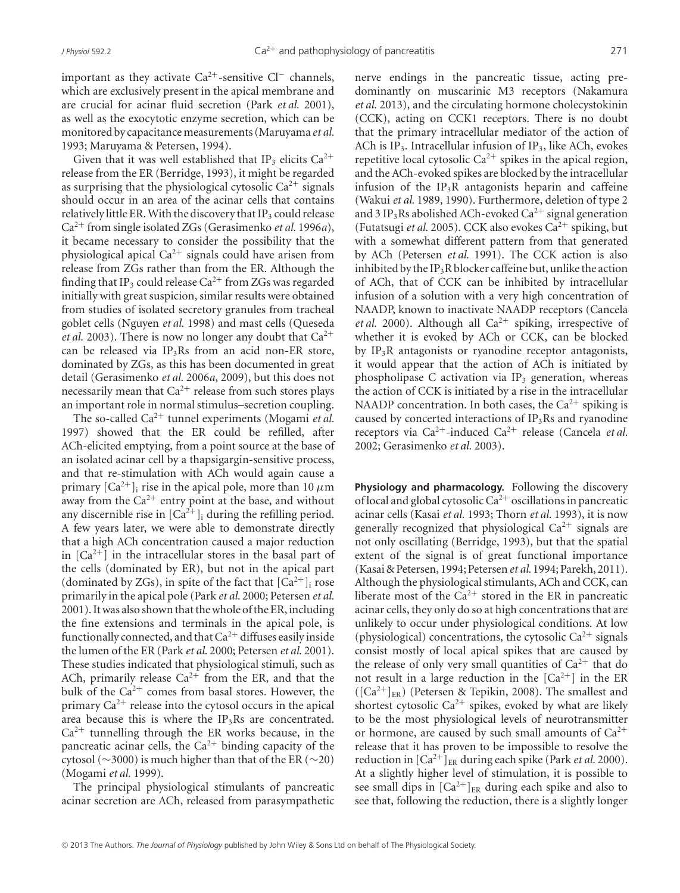important as they activate  $Ca^{2+}$ -sensitive Cl<sup>−</sup> channels, which are exclusively present in the apical membrane and are crucial for acinar fluid secretion (Park *et al.* 2001), as well as the exocytotic enzyme secretion, which can be monitored by capacitance measurements (Maruyama et al. 1993; Maruyama & Petersen, 1994).

Given that it was well established that IP<sub>3</sub> elicits  $Ca^{2+}$ release from the ER (Berridge, 1993), it might be regarded as surprising that the physiological cytosolic  $Ca^{2+}$  signals should occur in an area of the acinar cells that contains relatively little ER. With the discovery that  $IP_3$  could release Ca<sup>2</sup><sup>+</sup> from single isolated ZGs (Gerasimenko *et al.* 1996*a*), it became necessary to consider the possibility that the physiological apical  $Ca^{2+}$  signals could have arisen from release from ZGs rather than from the ER. Although the finding that IP<sub>3</sub> could release  $Ca^{2+}$  from ZGs was regarded initially with great suspicion, similar results were obtained from studies of isolated secretory granules from tracheal goblet cells (Nguyen *et al.* 1998) and mast cells (Queseda *et al.* 2003). There is now no longer any doubt that  $Ca^{2+}$ can be released via  $IP_3Rs$  from an acid non-ER store, dominated by ZGs, as this has been documented in great detail (Gerasimenko *et al.* 2006*a*, 2009), but this does not necessarily mean that  $Ca^{2+}$  release from such stores plays an important role in normal stimulus–secretion coupling.

The so-called  $Ca^{2+}$  tunnel experiments (Mogami *et al.*) 1997) showed that the ER could be refilled, after ACh-elicited emptying, from a point source at the base of an isolated acinar cell by a thapsigargin-sensitive process, and that re-stimulation with ACh would again cause a primary  $\lceil Ca^{2+} \rceil$  rise in the apical pole, more than 10  $\mu$ m away from the  $Ca^{2+}$  entry point at the base, and without any discernible rise in  $[Ca^{2+}]$ <sub>i</sub> during the refilling period. A few years later, we were able to demonstrate directly that a high ACh concentration caused a major reduction in  $[Ca^{2+}]$  in the intracellular stores in the basal part of the cells (dominated by ER), but not in the apical part (dominated by ZGs), in spite of the fact that  $[Ca^{2+}]$ <sub>i</sub> rose primarily in the apical pole (Park *et al.* 2000; Petersen *et al.* 2001). Itwas also shown that thewhole of the ER, including the fine extensions and terminals in the apical pole, is functionally connected, and that  $Ca^{2+}$  diffuses easily inside the lumen of the ER (Park *et al.* 2000; Petersen *et al.* 2001). These studies indicated that physiological stimuli, such as ACh, primarily release  $Ca^{2+}$  from the ER, and that the bulk of the  $Ca^{2+}$  comes from basal stores. However, the primary  $Ca^{2+}$  release into the cytosol occurs in the apical area because this is where the  $IP_3Rs$  are concentrated.  $Ca<sup>2+</sup>$  tunnelling through the ER works because, in the pancreatic acinar cells, the  $Ca^{2+}$  binding capacity of the cytosol ( $\sim$ 3000) is much higher than that of the ER ( $\sim$ 20) (Mogami *et al.* 1999).

The principal physiological stimulants of pancreatic acinar secretion are ACh, released from parasympathetic nerve endings in the pancreatic tissue, acting predominantly on muscarinic M3 receptors (Nakamura *et al.* 2013), and the circulating hormone cholecystokinin (CCK), acting on CCK1 receptors. There is no doubt that the primary intracellular mediator of the action of ACh is  $IP_3$ . Intracellular infusion of  $IP_3$ , like ACh, evokes repetitive local cytosolic  $Ca^{2+}$  spikes in the apical region, and the ACh-evoked spikes are blocked by the intracellular infusion of the  $IP_3R$  antagonists heparin and caffeine (Wakui *et al.* 1989, 1990). Furthermore, deletion of type 2 and 3 IP<sub>3</sub>Rs abolished ACh-evoked Ca<sup>2+</sup> signal generation (Futatsugi *et al.* 2005). CCK also evokes  $Ca^{2+}$  spiking, but with a somewhat different pattern from that generated by ACh (Petersen *et al.* 1991). The CCK action is also inhibited by the IP<sub>3</sub>R blocker caffeine but, unlike the action of ACh, that of CCK can be inhibited by intracellular infusion of a solution with a very high concentration of NAADP, known to inactivate NAADP receptors (Cancela *et al.* 2000). Although all  $Ca^{2+}$  spiking, irrespective of whether it is evoked by ACh or CCK, can be blocked by  $IP_3R$  antagonists or ryanodine receptor antagonists, it would appear that the action of ACh is initiated by phospholipase C activation via  $IP_3$  generation, whereas the action of CCK is initiated by a rise in the intracellular NAADP concentration. In both cases, the  $Ca^{2+}$  spiking is caused by concerted interactions of  $IP_3Rs$  and ryanodine receptors via Ca<sup>2</sup>+-induced Ca2<sup>+</sup> release (Cancela *et al.* 2002; Gerasimenko *et al.* 2003).

**Physiology and pharmacology.** Following the discovery of local and global cytosolic  $Ca^{2+}$  oscillations in pancreatic acinar cells (Kasai *et al.* 1993; Thorn *et al.* 1993), it is now generally recognized that physiological  $Ca^{2+}$  signals are not only oscillating (Berridge, 1993), but that the spatial extent of the signal is of great functional importance (Kasai & Petersen, 1994; Petersen*et al.* 1994; Parekh, 2011). Although the physiological stimulants, ACh and CCK, can liberate most of the  $Ca^{2+}$  stored in the ER in pancreatic acinar cells, they only do so at high concentrations that are unlikely to occur under physiological conditions. At low (physiological) concentrations, the cytosolic  $Ca^{2+}$  signals consist mostly of local apical spikes that are caused by the release of only very small quantities of  $Ca^{2+}$  that do not result in a large reduction in the  $[Ca^{2+}]$  in the ER  $([Ca<sup>2+</sup>]_{ER})$  (Petersen & Tepikin, 2008). The smallest and shortest cytosolic  $Ca^{2+}$  spikes, evoked by what are likely to be the most physiological levels of neurotransmitter or hormone, are caused by such small amounts of  $Ca^{2+}$ release that it has proven to be impossible to resolve the reduction in  $[Ca^{2+}]_{ER}$  during each spike (Park *et al.* 2000). At a slightly higher level of stimulation, it is possible to see small dips in  $[Ca^{2+}]_{ER}$  during each spike and also to see that, following the reduction, there is a slightly longer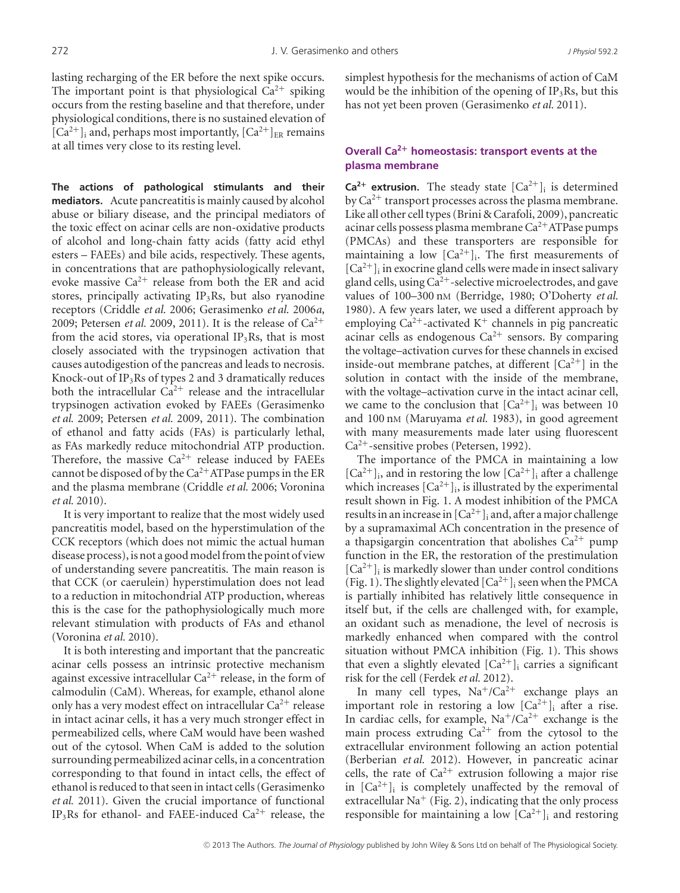lasting recharging of the ER before the next spike occurs. The important point is that physiological  $Ca^{2+}$  spiking occurs from the resting baseline and that therefore, under physiological conditions, there is no sustained elevation of  $[Ca^{2+}]$ <sub>i</sub> and, perhaps most importantly,  $[Ca^{2+}]_{ER}$  remains at all times very close to its resting level.

**The actions of pathological stimulants and their mediators.** Acute pancreatitis is mainly caused by alcohol abuse or biliary disease, and the principal mediators of the toxic effect on acinar cells are non-oxidative products of alcohol and long-chain fatty acids (fatty acid ethyl esters – FAEEs) and bile acids, respectively. These agents, in concentrations that are pathophysiologically relevant, evoke massive  $Ca^{2+}$  release from both the ER and acid stores, principally activating  $IP_3Rs$ , but also ryanodine receptors (Criddle *et al.* 2006; Gerasimenko *et al.* 2006*a*, 2009; Petersen *et al.* 2009, 2011). It is the release of  $Ca^{2+}$ from the acid stores, via operational  $IP_3Rs$ , that is most closely associated with the trypsinogen activation that causes autodigestion of the pancreas and leads to necrosis. Knock-out of  $IP<sub>3</sub>Rs$  of types 2 and 3 dramatically reduces both the intracellular  $Ca^{2+}$  release and the intracellular trypsinogen activation evoked by FAEEs (Gerasimenko *et al.* 2009; Petersen *et al.* 2009, 2011). The combination of ethanol and fatty acids (FAs) is particularly lethal, as FAs markedly reduce mitochondrial ATP production. Therefore, the massive  $Ca^{2+}$  release induced by FAEEs cannot be disposed of by the  $Ca^{2+}$  ATPase pumps in the ER and the plasma membrane (Criddle *et al.* 2006; Voronina *et al.* 2010).

It is very important to realize that the most widely used pancreatitis model, based on the hyperstimulation of the CCK receptors (which does not mimic the actual human disease process), is not a good model from the point of view of understanding severe pancreatitis. The main reason is that CCK (or caerulein) hyperstimulation does not lead to a reduction in mitochondrial ATP production, whereas this is the case for the pathophysiologically much more relevant stimulation with products of FAs and ethanol (Voronina *et al.* 2010).

It is both interesting and important that the pancreatic acinar cells possess an intrinsic protective mechanism against excessive intracellular  $Ca^{2+}$  release, in the form of calmodulin (CaM). Whereas, for example, ethanol alone only has a very modest effect on intracellular  $Ca^{2+}$  release in intact acinar cells, it has a very much stronger effect in permeabilized cells, where CaM would have been washed out of the cytosol. When CaM is added to the solution surrounding permeabilized acinar cells, in a concentration corresponding to that found in intact cells, the effect of ethanol is reduced to that seen in intact cells (Gerasimenko *et al.* 2011). Given the crucial importance of functional IP<sub>3</sub>Rs for ethanol- and FAEE-induced  $Ca^{2+}$  release, the simplest hypothesis for the mechanisms of action of CaM would be the inhibition of the opening of  $IP_3Rs$ , but this has not yet been proven (Gerasimenko *et al.* 2011).

## **Overall Ca2<sup>+</sup> homeostasis: transport events at the plasma membrane**

**Ca<sup>2+</sup> extrusion.** The steady state  $[Ca^{2+}]$ <sub>i</sub> is determined by  $Ca^{2+}$  transport processes across the plasma membrane. Like all other cell types (Brini & Carafoli, 2009), pancreatic acinar cells possess plasma membrane  $Ca^{2+}$ ATPase pumps (PMCAs) and these transporters are responsible for maintaining a low  $[Ca^{2+}]_i$ . The first measurements of  $[Ca<sup>2+</sup>]$ <sub>i</sub> in exocrine gland cells were made in insect salivary gland cells, using  $Ca^{2+}$ -selective microelectrodes, and gave values of 100–300 nM (Berridge, 1980; O'Doherty *et al.* 1980). A few years later, we used a different approach by employing  $Ca^{2+}$ -activated K<sup>+</sup> channels in pig pancreatic acinar cells as endogenous  $Ca^{2+}$  sensors. By comparing the voltage–activation curves for these channels in excised inside-out membrane patches, at different  $[Ca^{2+}]$  in the solution in contact with the inside of the membrane, with the voltage–activation curve in the intact acinar cell, we came to the conclusion that  $[Ca^{2+}]$ <sub>i</sub> was between 10 and 100 nM (Maruyama *et al.* 1983), in good agreement with many measurements made later using fluorescent Ca<sup>2+</sup>-sensitive probes (Petersen, 1992).

The importance of the PMCA in maintaining a low  $[Ca^{2+}]$ <sub>i</sub>, and in restoring the low  $[Ca^{2+}]$ <sub>i</sub> after a challenge which increases  $[Ca^{2+}]_i$ , is illustrated by the experimental result shown in Fig. 1. A modest inhibition of the PMCA results in an increase in  $[Ca^{2+}]_i$  and, after a major challenge by a supramaximal ACh concentration in the presence of a thapsigargin concentration that abolishes  $Ca^{2+}$  pump function in the ER, the restoration of the prestimulation  $[Ca<sup>2+</sup>]$ <sub>i</sub> is markedly slower than under control conditions (Fig. 1). The slightly elevated  $[Ca^{2+}]_i$  seen when the PMCA is partially inhibited has relatively little consequence in itself but, if the cells are challenged with, for example, an oxidant such as menadione, the level of necrosis is markedly enhanced when compared with the control situation without PMCA inhibition (Fig. 1). This shows that even a slightly elevated  $[Ca^{2+}]$ ; carries a significant risk for the cell (Ferdek *et al.* 2012).

In many cell types,  $Na^+/Ca^{2+}$  exchange plays an important role in restoring a low  $[Ca^{2+}]$ <sub>i</sub> after a rise. In cardiac cells, for example,  $Na^{+}/Ca^{2+}$  exchange is the main process extruding  $Ca^{2+}$  from the cytosol to the extracellular environment following an action potential (Berberian *et al.* 2012). However, in pancreatic acinar cells, the rate of  $Ca^{2+}$  extrusion following a major rise in  $[Ca^{2+}]$ <sub>i</sub> is completely unaffected by the removal of extracellular  $Na^+$  (Fig. 2), indicating that the only process responsible for maintaining a low  $[Ca^{2+}]_i$  and restoring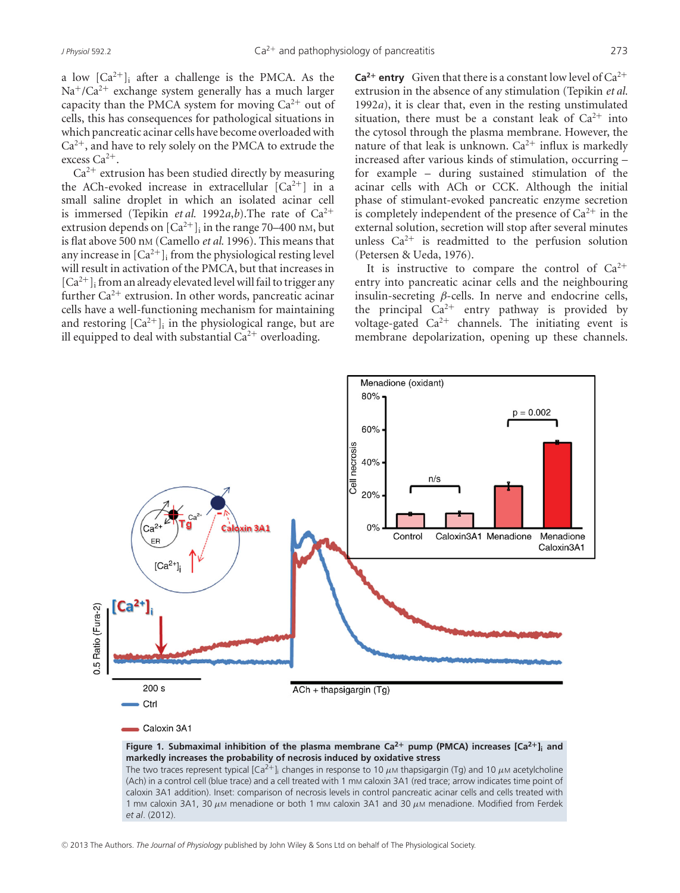a low  $[Ca^{2+}]$ ; after a challenge is the PMCA. As the  $Na^{+}/Ca^{2+}$  exchange system generally has a much larger capacity than the PMCA system for moving  $Ca^{2+}$  out of cells, this has consequences for pathological situations in which pancreatic acinar cells have become overloaded with  $Ca^{2+}$ , and have to rely solely on the PMCA to extrude the excess Ca<sup>2+</sup>.

 $Ca<sup>2+</sup>$  extrusion has been studied directly by measuring the ACh-evoked increase in extracellular  $[Ca^{2+}]$  in a small saline droplet in which an isolated acinar cell is immersed (Tepikin *et al.* 1992*a*,*b*). The rate of  $Ca^{2+}$ extrusion depends on  $[Ca^{2+}]_i$  in the range 70–400 nm, but is flat above 500 nM (Camello *et al.* 1996). This means that any increase in  $[Ca^{2+}]_i$  from the physiological resting level will result in activation of the PMCA, but that increases in  $[Ca^{2+}]$ ; from an already elevated level will fail to trigger any further  $Ca^{2+}$  extrusion. In other words, pancreatic acinar cells have a well-functioning mechanism for maintaining and restoring  $[Ca^{2+}]$ ; in the physiological range, but are ill equipped to deal with substantial  $Ca^{2+}$  overloading.

**Ca<sup>2+</sup> entry** Given that there is a constant low level of  $Ca^{2+}$ extrusion in the absence of any stimulation (Tepikin *et al.* 1992*a*), it is clear that, even in the resting unstimulated situation, there must be a constant leak of  $Ca^{2+}$  into the cytosol through the plasma membrane. However, the nature of that leak is unknown.  $Ca^{2+}$  influx is markedly increased after various kinds of stimulation, occurring – for example – during sustained stimulation of the acinar cells with ACh or CCK. Although the initial phase of stimulant-evoked pancreatic enzyme secretion is completely independent of the presence of  $Ca^{2+}$  in the external solution, secretion will stop after several minutes unless  $Ca^{2+}$  is readmitted to the perfusion solution (Petersen & Ueda, 1976).

It is instructive to compare the control of  $Ca^{2+}$ entry into pancreatic acinar cells and the neighbouring insulin-secreting  $\beta$ -cells. In nerve and endocrine cells, the principal  $Ca^{2+}$  entry pathway is provided by voltage-gated  $Ca^{2+}$  channels. The initiating event is membrane depolarization, opening up these channels.



The two traces represent typical  $[Ca^{2+}]_i$  changes in response to 10  $\mu$ M thapsigargin (Tg) and 10  $\mu$ M acetylcholine (Ach) in a control cell (blue trace) and a cell treated with 1 mm caloxin 3A1 (red trace; arrow indicates time point of caloxin 3A1 addition). Inset: comparison of necrosis levels in control pancreatic acinar cells and cells treated with 1 mm caloxin 3A1, 30  $\mu$ M menadione or both 1 mm caloxin 3A1 and 30  $\mu$ M menadione. Modified from Ferdek *et al*. (2012).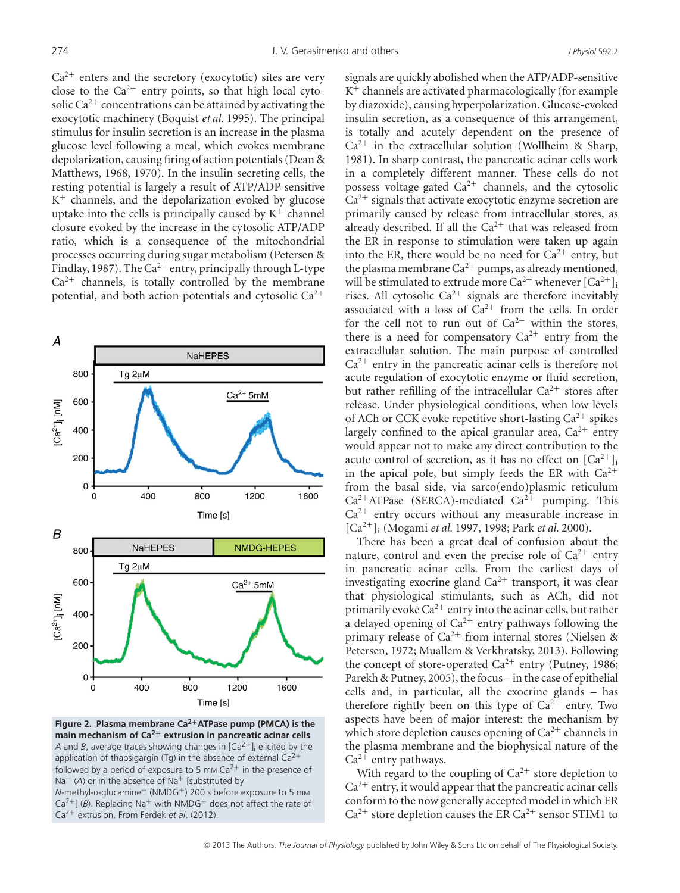$Ca^{2+}$  enters and the secretory (exocytotic) sites are very close to the  $Ca^{2+}$  entry points, so that high local cytosolic  $Ca^{2+}$  concentrations can be attained by activating the exocytotic machinery (Boquist *et al.* 1995). The principal stimulus for insulin secretion is an increase in the plasma glucose level following a meal, which evokes membrane depolarization, causing firing of action potentials (Dean & Matthews, 1968, 1970). In the insulin-secreting cells, the resting potential is largely a result of ATP/ADP-sensitive  $K^+$  channels, and the depolarization evoked by glucose uptake into the cells is principally caused by  $K^+$  channel closure evoked by the increase in the cytosolic ATP/ADP ratio, which is a consequence of the mitochondrial processes occurring during sugar metabolism (Petersen & Findlay, 1987). The  $Ca^{2+}$  entry, principally through L-type  $Ca<sup>2+</sup>$  channels, is totally controlled by the membrane potential, and both action potentials and cytosolic  $Ca^{2+}$ 



**Figure 2. Plasma membrane Ca2+ATPase pump (PMCA) is the main mechanism of Ca2<sup>+</sup> extrusion in pancreatic acinar cells** *A* and *B*, average traces showing changes in  $[Ca^{2+}]$  elicited by the application of thapsigargin (Tg) in the absence of external  $Ca^{2+}$ followed by a period of exposure to 5 mm  $Ca^{2+}$  in the presence of Na<sup>+</sup> (A) or in the absence of Na<sup>+</sup> [substituted by

*N*-methyl-D-glucamine<sup>+</sup> (NMDG<sup>+</sup>) 200 s before exposure to 5 mм  $Ca^{2+}$ ] (*B*). Replacing Na<sup>+</sup> with NMDG<sup>+</sup> does not affect the rate of Ca2<sup>+</sup> extrusion. From Ferdek *et al*. (2012).

signals are quickly abolished when the ATP/ADP-sensitive  $K^+$  channels are activated pharmacologically (for example by diazoxide), causing hyperpolarization. Glucose-evoked insulin secretion, as a consequence of this arrangement, is totally and acutely dependent on the presence of  $Ca^{2+}$  in the extracellular solution (Wollheim & Sharp, 1981). In sharp contrast, the pancreatic acinar cells work in a completely different manner. These cells do not possess voltage-gated  $Ca^{2+}$  channels, and the cytosolic  $Ca<sup>2+</sup>$  signals that activate exocytotic enzyme secretion are primarily caused by release from intracellular stores, as already described. If all the  $Ca^{2+}$  that was released from the ER in response to stimulation were taken up again into the ER, there would be no need for  $Ca^{2+}$  entry, but the plasma membrane  $Ca^{2+}$  pumps, as already mentioned, will be stimulated to extrude more  $Ca^{2+}$  whenever  $[Ca^{2+}]_i$ rises. All cytosolic  $Ca^{2+}$  signals are therefore inevitably associated with a loss of  $Ca^{2+}$  from the cells. In order for the cell not to run out of  $Ca^{2+}$  within the stores, there is a need for compensatory  $Ca^{2+}$  entry from the extracellular solution. The main purpose of controlled  $Ca<sup>2+</sup>$  entry in the pancreatic acinar cells is therefore not acute regulation of exocytotic enzyme or fluid secretion, but rather refilling of the intracellular  $Ca^{2+}$  stores after release. Under physiological conditions, when low levels of ACh or CCK evoke repetitive short-lasting  $Ca^{2+}$  spikes largely confined to the apical granular area,  $Ca^{2+}$  entry would appear not to make any direct contribution to the acute control of secretion, as it has no effect on  $[Ca^{2+}]$ <sub>i</sub> in the apical pole, but simply feeds the ER with  $Ca^{2+}$ from the basal side, via sarco(endo)plasmic reticulum  $Ca^{2+}$ ATPase (SERCA)-mediated  $Ca^{2+}$  pumping. This  $Ca<sup>2+</sup>$  entry occurs without any measurable increase in [Ca<sup>2</sup>+]i (Mogami *et al.* 1997, 1998; Park *et al.* 2000).

There has been a great deal of confusion about the nature, control and even the precise role of  $Ca^{2+}$  entry in pancreatic acinar cells. From the earliest days of investigating exocrine gland  $Ca^{2+}$  transport, it was clear that physiological stimulants, such as ACh, did not primarily evoke  $Ca^{2+}$  entry into the acinar cells, but rather a delayed opening of  $Ca^{2+}$  entry pathways following the primary release of  $Ca^{2+}$  from internal stores (Nielsen & Petersen, 1972; Muallem & Verkhratsky, 2013). Following the concept of store-operated  $Ca^{2+}$  entry (Putney, 1986; Parekh & Putney, 2005), the focus – in the case of epithelial cells and, in particular, all the exocrine glands – has therefore rightly been on this type of  $Ca^{2+}$  entry. Two aspects have been of major interest: the mechanism by which store depletion causes opening of  $Ca^{2+}$  channels in the plasma membrane and the biophysical nature of the  $Ca^{2+}$  entry pathways.

With regard to the coupling of  $Ca^{2+}$  store depletion to  $Ca<sup>2+</sup>$  entry, it would appear that the pancreatic acinar cells conform to the now generally accepted model in which ER  $Ca^{2+}$  store depletion causes the ER  $Ca^{2+}$  sensor STIM1 to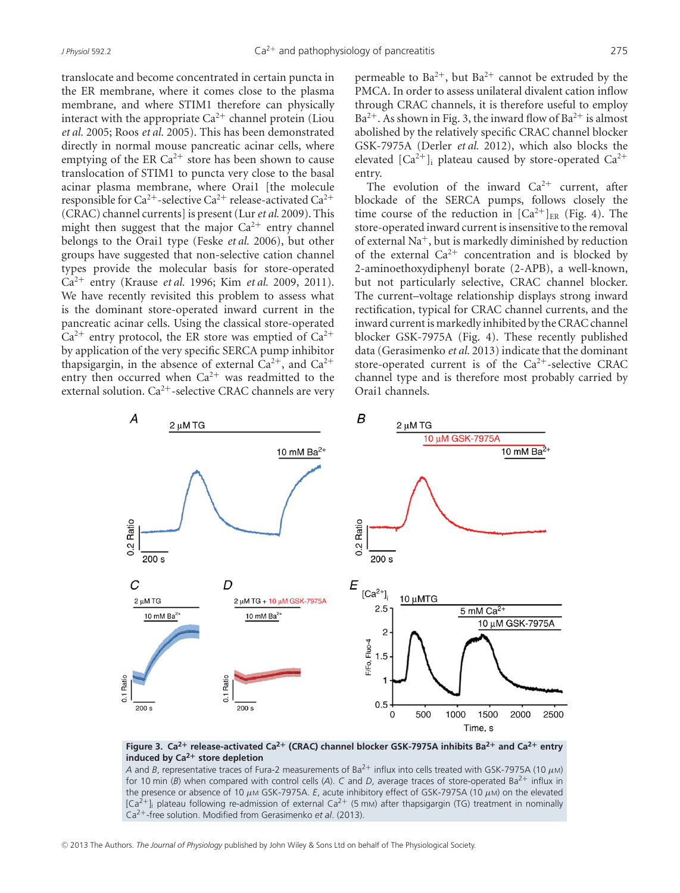translocate and become concentrated in certain puncta in the ER membrane, where it comes close to the plasma membrane, and where STIM1 therefore can physically interact with the appropriate  $Ca^{2+}$  channel protein (Liou *et al.* 2005; Roos *et al.* 2005). This has been demonstrated directly in normal mouse pancreatic acinar cells, where emptying of the ER  $Ca^{2+}$  store has been shown to cause translocation of STIM1 to puncta very close to the basal acinar plasma membrane, where Orai1 [the molecule responsible for  $Ca^{2+}$ -selective  $Ca^{2+}$  release-activated  $Ca^{2+}$ (CRAC) channel currents] is present (Lur*et al.* 2009). This might then suggest that the major  $Ca^{2+}$  entry channel belongs to the Orai1 type (Feske *et al.* 2006), but other groups have suggested that non-selective cation channel types provide the molecular basis for store-operated Ca<sup>2</sup><sup>+</sup> entry (Krause *et al.* 1996; Kim *et al.* 2009, 2011). We have recently revisited this problem to assess what is the dominant store-operated inward current in the pancreatic acinar cells. Using the classical store-operated  $Ca^{2+}$  entry protocol, the ER store was emptied of  $Ca^{2+}$ by application of the very specific SERCA pump inhibitor thapsigargin, in the absence of external  $Ca^{2+}$ , and  $Ca^{2+}$ entry then occurred when  $Ca^{2+}$  was readmitted to the external solution.  $Ca^{2+}$ -selective CRAC channels are very

permeable to  $Ba^{2+}$ , but  $Ba^{2+}$  cannot be extruded by the PMCA. In order to assess unilateral divalent cation inflow through CRAC channels, it is therefore useful to employ  $Ba^{2+}$ . As shown in Fig. 3, the inward flow of  $Ba^{2+}$  is almost abolished by the relatively specific CRAC channel blocker GSK-7975A (Derler *et al.* 2012), which also blocks the elevated  $\lceil Ca^{2+} \rceil$  plateau caused by store-operated  $Ca^{2+}$ entry.

The evolution of the inward  $Ca^{2+}$  current, after blockade of the SERCA pumps, follows closely the time course of the reduction in  $[Ca^{2+}]_{ER}$  (Fig. 4). The store-operated inward current is insensitive to the removal of external  $Na<sup>+</sup>$ , but is markedly diminished by reduction of the external  $Ca^{2+}$  concentration and is blocked by 2-aminoethoxydiphenyl borate (2-APB), a well-known, but not particularly selective, CRAC channel blocker. The current–voltage relationship displays strong inward rectification, typical for CRAC channel currents, and the inward current is markedly inhibited by the CRAC channel blocker GSK-7975A (Fig. 4). These recently published data (Gerasimenko *et al.* 2013) indicate that the dominant store-operated current is of the  $Ca^{2+}$ -selective CRAC channel type and is therefore most probably carried by Orai1 channels.



#### **Figure 3. Ca2<sup>+</sup> release-activated Ca2<sup>+</sup> (CRAC) channel blocker GSK-7975A inhibits Ba2<sup>+</sup> and Ca2<sup>+</sup> entry induced by Ca2<sup>+</sup> store depletion**

*A* and *B*, representative traces of Fura-2 measurements of Ba<sup>2+</sup> influx into cells treated with GSK-7975A (10 μM) for 10 min ( $B$ ) when compared with control cells ( $A$ ).  $C$  and  $D$ , average traces of store-operated Ba<sup>2+</sup> influx in the presence or absence of 10 μM GSK-7975A. *E*, acute inhibitory effect of GSK-7975A (10 μM) on the elevated  $[Ca^{2+}]_i$  plateau following re-admission of external Ca<sup>2+</sup> (5 mm) after thapsigargin (TG) treatment in nominally Ca2+-free solution. Modified from Gerasimenko *et al*. (2013).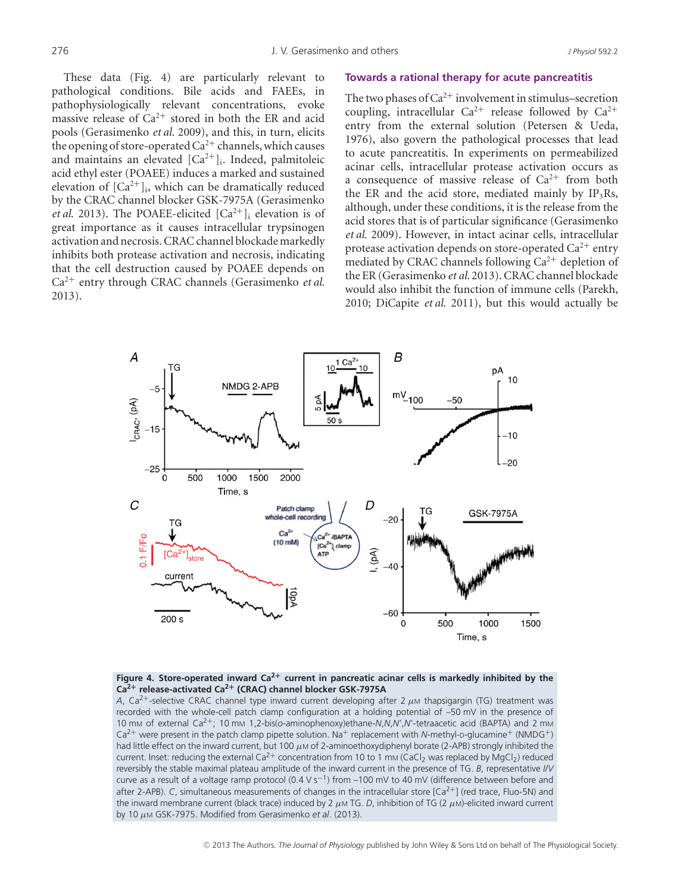These data (Fig. 4) are particularly relevant to pathological conditions. Bile acids and FAEEs, in pathophysiologically relevant concentrations, evoke massive release of  $Ca^{2+}$  stored in both the ER and acid pools (Gerasimenko *et al.* 2009), and this, in turn, elicits the opening of store-operated  $Ca^{2+}$  channels, which causes and maintains an elevated  $[Ca^{2+}]$ <sub>i</sub>. Indeed, palmitoleic acid ethyl ester (POAEE) induces a marked and sustained elevation of  $[Ca^{2+}]_i$ , which can be dramatically reduced by the CRAC channel blocker GSK-7975A (Gerasimenko *et al.* 2013). The POAEE-elicited  $[Ca^{2+}]$ <sub>i</sub> elevation is of great importance as it causes intracellular trypsinogen activation and necrosis. CRAC channel blockade markedly inhibits both protease activation and necrosis, indicating that the cell destruction caused by POAEE depends on Ca<sup>2</sup><sup>+</sup> entry through CRAC channels (Gerasimenko *et al.* 2013).

#### **Towards a rational therapy for acute pancreatitis**

The two phases of  $Ca^{2+}$  involvement in stimulus–secretion coupling, intracellular  $Ca^{2+}$  release followed by  $Ca^{2+}$ entry from the external solution (Petersen & Ueda, 1976), also govern the pathological processes that lead to acute pancreatitis. In experiments on permeabilized acinar cells, intracellular protease activation occurs as a consequence of massive release of  $Ca^{2+}$  from both the ER and the acid store, mediated mainly by  $IP_3Rs$ , although, under these conditions, it is the release from the acid stores that is of particular significance (Gerasimenko *et al.* 2009). However, in intact acinar cells, intracellular protease activation depends on store-operated  $Ca^{2+}$  entry mediated by CRAC channels following  $Ca^{2+}$  depletion of the ER (Gerasimenko *et al.* 2013). CRAC channel blockade would also inhibit the function of immune cells (Parekh, 2010; DiCapite *et al.* 2011), but this would actually be



#### **Figure 4. Store-operated inward Ca2<sup>+</sup> current in pancreatic acinar cells is markedly inhibited by the Ca2<sup>+</sup> release-activated Ca2<sup>+</sup> (CRAC) channel blocker GSK-7975A**

*A*, Ca<sup>2+</sup>-selective CRAC channel type inward current developing after 2  $\mu$ M thapsigargin (TG) treatment was recorded with the whole-cell patch clamp configuration at a holding potential of –50 mV in the presence of 10 mM of external Ca2+; 10 mM 1,2-bis(*o*-aminophenoxy)ethane-*N*,*N*,*N*',*N*'-tetraacetic acid (BAPTA) and 2 mM  $Ca^{2+}$  were present in the patch clamp pipette solution. Na<sup>+</sup> replacement with *N*-methyl-p-qlucamine<sup>+</sup> (NMDG<sup>+</sup>) had little effect on the inward current, but 100  $\mu$ M of 2-aminoethoxydiphenyl borate (2-APB) strongly inhibited the current. Inset: reducing the external Ca<sup>2+</sup> concentration from 10 to 1 mm (CaCl<sub>2</sub> was replaced by MgCl<sub>2</sub>) reduced reversibly the stable maximal plateau amplitude of the inward current in the presence of TG. *B*, representative *I*/*V* curve as a result of a voltage ramp protocol (0.4 V s−1) from –100 mV to 40 mV (difference between before and after 2-APB). *C*, simultaneous measurements of changes in the intracellular store [Ca<sup>2+</sup>] (red trace, Fluo-5N) and the inward membrane current (black trace) induced by 2  $\mu$ M TG. *D*, inhibition of TG (2  $\mu$ M)-elicited inward current by 10 μM GSK-7975. Modified from Gerasimenko *et al*. (2013).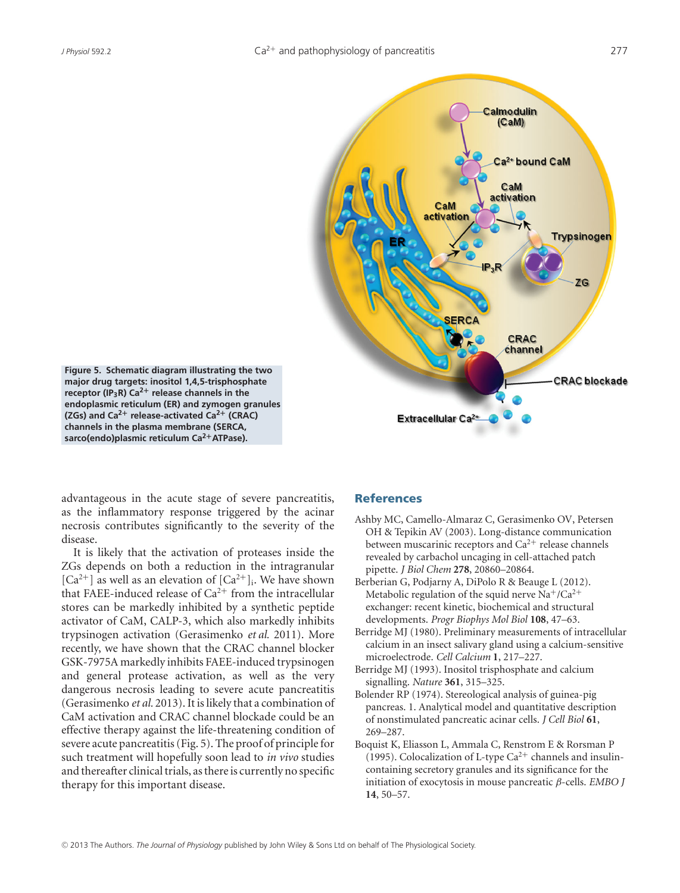

**Figure 5. Schematic diagram illustrating the two major drug targets: inositol 1,4,5-trisphosphate receptor (IP3R) Ca2<sup>+</sup> release channels in the endoplasmic reticulum (ER) and zymogen granules (ZGs) and Ca2<sup>+</sup> release-activated Ca2<sup>+</sup> (CRAC) channels in the plasma membrane (SERCA, sarco(endo)plasmic reticulum Ca2+ATPase).**

advantageous in the acute stage of severe pancreatitis, as the inflammatory response triggered by the acinar necrosis contributes significantly to the severity of the disease.

It is likely that the activation of proteases inside the ZGs depends on both a reduction in the intragranular  $[Ca^{2+}]$  as well as an elevation of  $[Ca^{2+}]_i$ . We have shown that FAEE-induced release of  $Ca^{2+}$  from the intracellular stores can be markedly inhibited by a synthetic peptide activator of CaM, CALP-3, which also markedly inhibits trypsinogen activation (Gerasimenko *et al.* 2011). More recently, we have shown that the CRAC channel blocker GSK-7975A markedly inhibits FAEE-induced trypsinogen and general protease activation, as well as the very dangerous necrosis leading to severe acute pancreatitis (Gerasimenko *et al.* 2013). It is likely that a combination of CaM activation and CRAC channel blockade could be an effective therapy against the life-threatening condition of severe acute pancreatitis (Fig. 5). The proof of principle for such treatment will hopefully soon lead to *in vivo* studies and thereafter clinical trials, as there is currently no specific therapy for this important disease.

#### **References**

Extracellular Ca<sup>2+</sup>

- Ashby MC, Camello-Almaraz C, Gerasimenko OV, Petersen OH & Tepikin AV (2003). Long-distance communication between muscarinic receptors and  $Ca^{2+}$  release channels revealed by carbachol uncaging in cell-attached patch pipette. *J Biol Chem* **278**, 20860–20864.
- Berberian G, Podjarny A, DiPolo R & Beauge L (2012). Metabolic regulation of the squid nerve Na<sup>+</sup>/Ca<sup>2+</sup> exchanger: recent kinetic, biochemical and structural developments. *Progr Biophys Mol Biol* **108**, 47–63.
- Berridge MJ (1980). Preliminary measurements of intracellular calcium in an insect salivary gland using a calcium-sensitive microelectrode. *Cell Calcium* **1**, 217–227.
- Berridge MJ (1993). Inositol trisphosphate and calcium signalling. *Nature* **361**, 315–325.
- Bolender RP (1974). Stereological analysis of guinea-pig pancreas. 1. Analytical model and quantitative description of nonstimulated pancreatic acinar cells. *J Cell Biol* **61**, 269–287.
- Boquist K, Eliasson L, Ammala C, Renstrom E & Rorsman P (1995). Colocalization of L-type  $Ca^{2+}$  channels and insulincontaining secretory granules and its significance for the initiation of exocytosis in mouse pancreatic β-cells. *EMBO J* **14**, 50–57.

**CRAC** blockade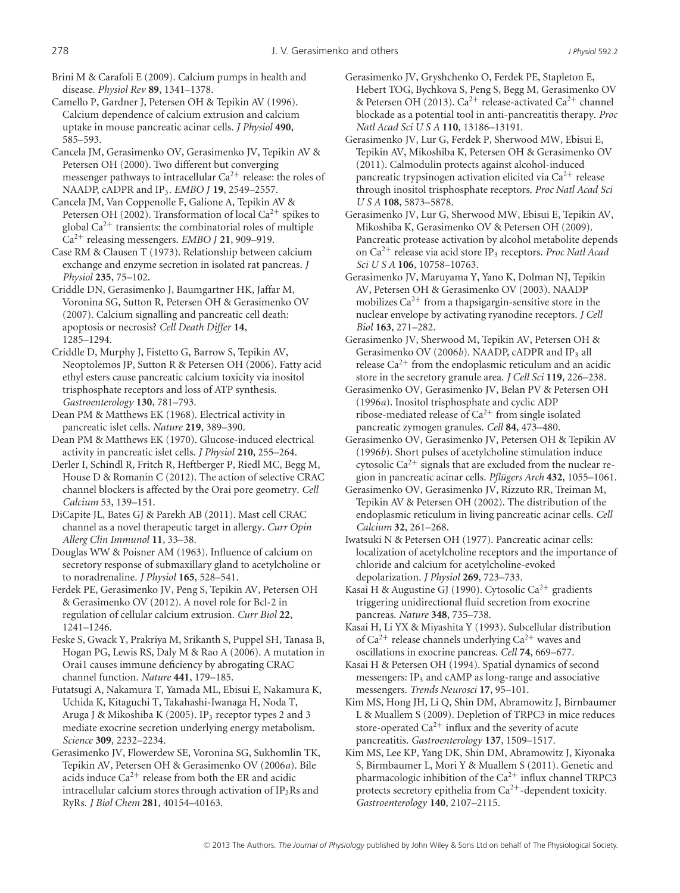Brini M & Carafoli E (2009). Calcium pumps in health and disease. *Physiol Rev* **89**, 1341–1378.

Camello P, Gardner J, Petersen OH & Tepikin AV (1996). Calcium dependence of calcium extrusion and calcium uptake in mouse pancreatic acinar cells. *J Physiol* **490**, 585–593.

Cancela JM, Gerasimenko OV, Gerasimenko JV, Tepikin AV & Petersen OH (2000). Two different but converging messenger pathways to intracellular  $Ca^{2+}$  release: the roles of NAADP, cADPR and IP3. *EMBO J* **19**, 2549–2557.

Cancela JM, Van Coppenolle F, Galione A, Tepikin AV & Petersen OH (2002). Transformation of local  $Ca^{2+}$  spikes to global  $Ca^{2+}$  transients: the combinatorial roles of multiple Ca<sup>2</sup><sup>+</sup> releasing messengers. *EMBO J* **21**, 909–919.

Case RM & Clausen T (1973). Relationship between calcium exchange and enzyme secretion in isolated rat pancreas. *J Physiol* **235**, 75–102.

Criddle DN, Gerasimenko J, Baumgartner HK, Jaffar M, Voronina SG, Sutton R, Petersen OH & Gerasimenko OV (2007). Calcium signalling and pancreatic cell death: apoptosis or necrosis? *Cell Death Differ* **14**, 1285–1294.

Criddle D, Murphy J, Fistetto G, Barrow S, Tepikin AV, Neoptolemos JP, Sutton R & Petersen OH (2006). Fatty acid ethyl esters cause pancreatic calcium toxicity via inositol trisphosphate receptors and loss of ATP synthesis. *Gastroenterology* **130**, 781–793.

Dean PM & Matthews EK (1968). Electrical activity in pancreatic islet cells. *Nature* **219**, 389–390.

Dean PM & Matthews EK (1970). Glucose-induced electrical activity in pancreatic islet cells. *J Physiol* **210**, 255–264.

Derler I, Schindl R, Fritch R, Heftberger P, Riedl MC, Begg M, House D & Romanin C (2012). The action of selective CRAC channel blockers is affected by the Orai pore geometry. *Cell Calcium* 53, 139–151.

DiCapite JL, Bates GJ & Parekh AB (2011). Mast cell CRAC channel as a novel therapeutic target in allergy. *Curr Opin Allerg Clin Immunol* **11**, 33–38.

Douglas WW & Poisner AM (1963). Influence of calcium on secretory response of submaxillary gland to acetylcholine or to noradrenaline. *J Physiol* **165**, 528–541.

Ferdek PE, Gerasimenko JV, Peng S, Tepikin AV, Petersen OH & Gerasimenko OV (2012). A novel role for Bcl-2 in regulation of cellular calcium extrusion. *Curr Biol* **22**, 1241–1246.

Feske S, Gwack Y, Prakriya M, Srikanth S, Puppel SH, Tanasa B, Hogan PG, Lewis RS, Daly M & Rao A (2006). A mutation in Orai1 causes immune deficiency by abrogating CRAC channel function. *Nature* **441**, 179–185.

Futatsugi A, Nakamura T, Yamada ML, Ebisui E, Nakamura K, Uchida K, Kitaguchi T, Takahashi-Iwanaga H, Noda T, Aruga J & Mikoshiba K (2005). IP<sub>3</sub> receptor types 2 and 3 mediate exocrine secretion underlying energy metabolism. *Science* **309**, 2232–2234.

Gerasimenko JV, Flowerdew SE, Voronina SG, Sukhomlin TK, Tepikin AV, Petersen OH & Gerasimenko OV (2006*a*). Bile acids induce  $Ca^{2+}$  release from both the ER and acidic intracellular calcium stores through activation of  $IP_3Rs$  and RyRs. *J Biol Chem* **281**, 40154–40163.

Gerasimenko JV, Gryshchenko O, Ferdek PE, Stapleton E, Hebert TOG, Bychkova S, Peng S, Begg M, Gerasimenko OV & Petersen OH (2013).  $Ca^{2+}$  release-activated  $Ca^{2+}$  channel blockade as a potential tool in anti-pancreatitis therapy. *Proc Natl Acad Sci U S A* **110**, 13186–13191.

Gerasimenko JV, Lur G, Ferdek P, Sherwood MW, Ebisui E, Tepikin AV, Mikoshiba K, Petersen OH & Gerasimenko OV (2011). Calmodulin protects against alcohol-induced pancreatic trypsinogen activation elicited via  $Ca^{2+}$  release through inositol trisphosphate receptors. *Proc Natl Acad Sci USA* **108**, 5873–5878.

Gerasimenko JV, Lur G, Sherwood MW, Ebisui E, Tepikin AV, Mikoshiba K, Gerasimenko OV & Petersen OH (2009). Pancreatic protease activation by alcohol metabolite depends on Ca<sup>2</sup><sup>+</sup> release via acid store IP3 receptors. *Proc Natl Acad Sci U S A* **106**, 10758–10763.

Gerasimenko JV, Maruyama Y, Yano K, Dolman NJ, Tepikin AV, Petersen OH & Gerasimenko OV (2003). NAADP mobilizes  $Ca^{2+}$  from a thapsigargin-sensitive store in the nuclear envelope by activating ryanodine receptors. *J Cell Biol* **163**, 271–282.

Gerasimenko JV, Sherwood M, Tepikin AV, Petersen OH & Gerasimenko OV (2006b). NAADP, cADPR and IP<sub>3</sub> all release  $Ca^{2+}$  from the endoplasmic reticulum and an acidic store in the secretory granule area. *J Cell Sci* **119**, 226–238.

Gerasimenko OV, Gerasimenko JV, Belan PV & Petersen OH (1996*a*). Inositol trisphosphate and cyclic ADP ribose-mediated release of  $Ca^{2+}$  from single isolated pancreatic zymogen granules. *Cell* **84**, 473–480.

Gerasimenko OV, Gerasimenko JV, Petersen OH & Tepikin AV (1996*b*). Short pulses of acetylcholine stimulation induce cytosolic  $Ca^{2+}$  signals that are excluded from the nuclear region in pancreatic acinar cells. *Pflügers Arch* 432, 1055–1061.

Gerasimenko OV, Gerasimenko JV, Rizzuto RR, Treiman M, Tepikin AV & Petersen OH (2002). The distribution of the endoplasmic reticulum in living pancreatic acinar cells. *Cell Calcium* **32**, 261–268.

Iwatsuki N & Petersen OH (1977). Pancreatic acinar cells: localization of acetylcholine receptors and the importance of chloride and calcium for acetylcholine-evoked depolarization. *J Physiol* **269**, 723–733.

Kasai H & Augustine GJ (1990). Cytosolic Ca<sup>2+</sup> gradients triggering unidirectional fluid secretion from exocrine pancreas. *Nature* **348**, 735–738.

Kasai H, Li YX & Miyashita Y (1993). Subcellular distribution of  $Ca^{2+}$  release channels underlying  $Ca^{2+}$  waves and oscillations in exocrine pancreas. *Cell* **74**, 669–677.

Kasai H & Petersen OH (1994). Spatial dynamics of second messengers: IP<sub>3</sub> and cAMP as long-range and associative messengers. *Trends Neurosci* **17**, 95–101.

Kim MS, Hong JH, Li Q, Shin DM, Abramowitz J, Birnbaumer L & Muallem S (2009). Depletion of TRPC3 in mice reduces store-operated  $Ca^{2+}$  influx and the severity of acute pancreatitis. *Gastroenterology* **137**, 1509–1517.

Kim MS, Lee KP, Yang DK, Shin DM, Abramowitz J, Kiyonaka S, Birmbaumer L, Mori Y & Muallem S (2011). Genetic and pharmacologic inhibition of the  $Ca^{2+}$  influx channel TRPC3 protects secretory epithelia from  $Ca^{2+}$ -dependent toxicity. *Gastroenterology* **140**, 2107–2115.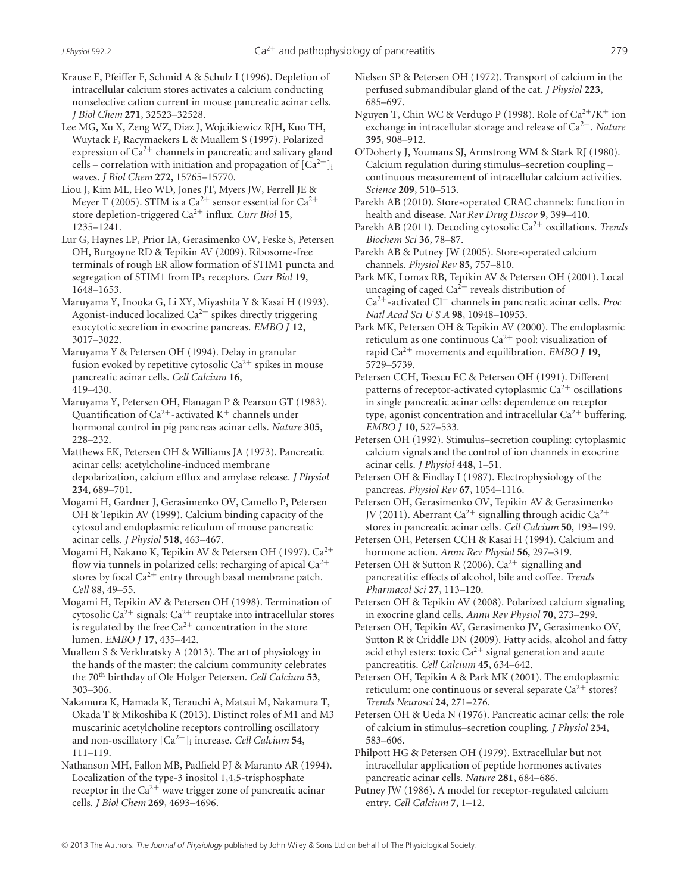Krause E, Pfeiffer F, Schmid A & Schulz I (1996). Depletion of intracellular calcium stores activates a calcium conducting nonselective cation current in mouse pancreatic acinar cells. *J Biol Chem* **271**, 32523–32528.

Lee MG, Xu X, Zeng WZ, Diaz J, Wojcikiewicz RJH, Kuo TH, Wuytack F, Racymaekers L & Muallem S (1997). Polarized expression of  $Ca^{2+}$  channels in pancreatic and salivary gland cells – correlation with initiation and propagation of  $[Ca^{2+}]_i$ waves. *J Biol Chem* **272**, 15765–15770.

Liou J, Kim ML, Heo WD, Jones JT, Myers JW, Ferrell JE & Meyer T (2005). STIM is a Ca<sup>2+</sup> sensor essential for Ca<sup>2+</sup> store depletion-triggered Ca<sup>2</sup><sup>+</sup> influx. *Curr Biol* **15**, 1235–1241.

Lur G, Haynes LP, Prior IA, Gerasimenko OV, Feske S, Petersen OH, Burgoyne RD & Tepikin AV (2009). Ribosome-free terminals of rough ER allow formation of STIM1 puncta and segregation of STIM1 from IP3 receptors. *Curr Biol* **19**, 1648–1653.

Maruyama Y, Inooka G, Li XY, Miyashita Y & Kasai H (1993). Agonist-induced localized  $Ca^{2+}$  spikes directly triggering exocytotic secretion in exocrine pancreas. *EMBO J* **12**, 3017–3022.

Maruyama Y & Petersen OH (1994). Delay in granular fusion evoked by repetitive cytosolic  $Ca^{2+}$  spikes in mouse pancreatic acinar cells. *Cell Calcium* **16**, 419–430.

Maruyama Y, Petersen OH, Flanagan P & Pearson GT (1983). Quantification of  $Ca^{2+}$ -activated K<sup>+</sup> channels under hormonal control in pig pancreas acinar cells. *Nature* **305**, 228–232.

Matthews EK, Petersen OH & Williams JA (1973). Pancreatic acinar cells: acetylcholine-induced membrane depolarization, calcium efflux and amylase release. *J Physiol* **234**, 689–701.

Mogami H, Gardner J, Gerasimenko OV, Camello P, Petersen OH & Tepikin AV (1999). Calcium binding capacity of the cytosol and endoplasmic reticulum of mouse pancreatic acinar cells. *J Physiol* **518**, 463–467.

Mogami H, Nakano K, Tepikin AV & Petersen OH (1997). Ca<sup>2</sup><sup>+</sup> flow via tunnels in polarized cells: recharging of apical  $Ca^{2+}$ stores by focal  $Ca^{2+}$  entry through basal membrane patch. *Cell* 88, 49–55.

Mogami H, Tepikin AV & Petersen OH (1998). Termination of cytosolic Ca<sup>2+</sup> signals: Ca<sup>2+</sup> reuptake into intracellular stores is regulated by the free  $Ca^{2+}$  concentration in the store lumen. *EMBO J* **17**, 435–442.

Muallem S & Verkhratsky A (2013). The art of physiology in the hands of the master: the calcium community celebrates the 70th birthday of Ole Holger Petersen. *Cell Calcium* **53**, 303–306.

Nakamura K, Hamada K, Terauchi A, Matsui M, Nakamura T, Okada T & Mikoshiba K (2013). Distinct roles of M1 and M3 muscarinic acetylcholine receptors controlling oscillatory and non-oscillatory  $[Ca^{2+}]$ <sub>i</sub> increase. *Cell Calcium* 54, 111–119.

Nathanson MH, Fallon MB, Padfield PJ & Maranto AR (1994). Localization of the type-3 inositol 1,4,5-trisphosphate receptor in the  $Ca^{2+}$  wave trigger zone of pancreatic acinar cells. *J Biol Chem* **269**, 4693–4696.

Nielsen SP & Petersen OH (1972). Transport of calcium in the perfused submandibular gland of the cat. *J Physiol* **223**, 685–697.

Nguyen T, Chin WC & Verdugo P (1998). Role of  $Ca^{2+}/K^{+}$  ion exchange in intracellular storage and release of Ca<sup>2+</sup>. *Nature* **395**, 908–912.

O'Doherty J, Youmans SJ, Armstrong WM & Stark RJ (1980). Calcium regulation during stimulus–secretion coupling – continuous measurement of intracellular calcium activities. *Science* **209**, 510–513.

Parekh AB (2010). Store-operated CRAC channels: function in health and disease. *Nat Rev Drug Discov* **9**, 399–410.

Parekh AB (2011). Decoding cytosolic Ca<sup>2</sup><sup>+</sup> oscillations. *Trends Biochem Sci* **36**, 78–87.

Parekh AB & Putney JW (2005). Store-operated calcium channels. *Physiol Rev* **85**, 757–810.

Park MK, Lomax RB, Tepikin AV & Petersen OH (2001). Local uncaging of caged  $Ca^{2+}$  reveals distribution of Ca<sup>2</sup>+-activated Cl<sup>−</sup> channels in pancreatic acinar cells. *Proc Natl Acad Sci U S A* **98**, 10948–10953.

Park MK, Petersen OH & Tepikin AV (2000). The endoplasmic reticulum as one continuous  $Ca^{2+}$  pool: visualization of rapid Ca<sup>2</sup><sup>+</sup> movements and equilibration. *EMBO J* **19**, 5729–5739.

Petersen CCH, Toescu EC & Petersen OH (1991). Different patterns of receptor-activated cytoplasmic  $Ca^{2+}$  oscillations in single pancreatic acinar cells: dependence on receptor type, agonist concentration and intracellular  $Ca^{2+}$  buffering. *EMBO J* **10**, 527–533.

Petersen OH (1992). Stimulus–secretion coupling: cytoplasmic calcium signals and the control of ion channels in exocrine acinar cells. *J Physiol* **448**, 1–51.

Petersen OH & Findlay I (1987). Electrophysiology of the pancreas. *Physiol Rev* **67**, 1054–1116.

Petersen OH, Gerasimenko OV, Tepikin AV & Gerasimenko JV (2011). Aberrant Ca<sup>2+</sup> signalling through acidic Ca<sup>2+</sup> stores in pancreatic acinar cells. *Cell Calcium* **50**, 193–199.

Petersen OH, Petersen CCH & Kasai H (1994). Calcium and hormone action. *Annu Rev Physiol* **56**, 297–319.

Petersen OH & Sutton R (2006).  $Ca^{2+}$  signalling and pancreatitis: effects of alcohol, bile and coffee. *Trends Pharmacol Sci* **27**, 113–120.

Petersen OH & Tepikin AV (2008). Polarized calcium signaling in exocrine gland cells. *Annu Rev Physiol* **70**, 273–299.

Petersen OH, Tepikin AV, Gerasimenko JV, Gerasimenko OV, Sutton R & Criddle DN (2009). Fatty acids, alcohol and fatty acid ethyl esters: toxic  $Ca^{2+}$  signal generation and acute pancreatitis. *Cell Calcium* **45**, 634–642.

Petersen OH, Tepikin A & Park MK (2001). The endoplasmic reticulum: one continuous or several separate  $Ca^{2+}$  stores? *Trends Neurosci* **24**, 271–276.

Petersen OH & Ueda N (1976). Pancreatic acinar cells: the role of calcium in stimulus–secretion coupling. *J Physiol* **254**, 583–606.

Philpott HG & Petersen OH (1979). Extracellular but not intracellular application of peptide hormones activates pancreatic acinar cells. *Nature* **281**, 684–686.

Putney JW (1986). A model for receptor-regulated calcium entry. *Cell Calcium* **7**, 1–12.